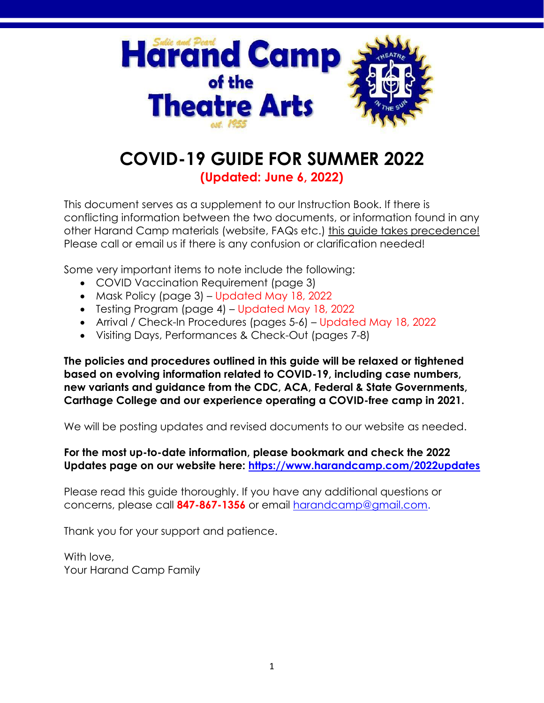

## **COVID-19 GUIDE FOR SUMMER 2022 (Updated: June 6, 2022)**

This document serves as a supplement to our Instruction Book. If there is

conflicting information between the two documents, or information found in any other Harand Camp materials (website, FAQs etc.) this guide takes precedence! Please call or email us if there is any confusion or clarification needed!

Some very important items to note include the following:

- COVID Vaccination Requirement (page 3)
- Mask Policy (page 3) Updated May 18, 2022
- Testing Program (page 4) Updated May 18, 2022
- Arrival / Check-In Procedures (pages 5-6) Updated May 18, 2022
- Visiting Days, Performances & Check-Out (pages 7-8)

**The policies and procedures outlined in this guide will be relaxed or tightened based on evolving information related to COVID-19, including case numbers, new variants and guidance from the CDC, ACA, Federal & State Governments, Carthage College and our experience operating a COVID-free camp in 2021.**

We will be posting updates and revised documents to our website as needed.

## **For the most up-to-date information, please bookmark and check the 2022 Updates page on our website here:<https://www.harandcamp.com/2022updates>**

Please read this guide thoroughly. If you have any additional questions or concerns, please call **847-867-1356** or email [harandcamp@gmail.com.](mailto:harandcamp@gmail.com)

Thank you for your support and patience.

With love, Your Harand Camp Family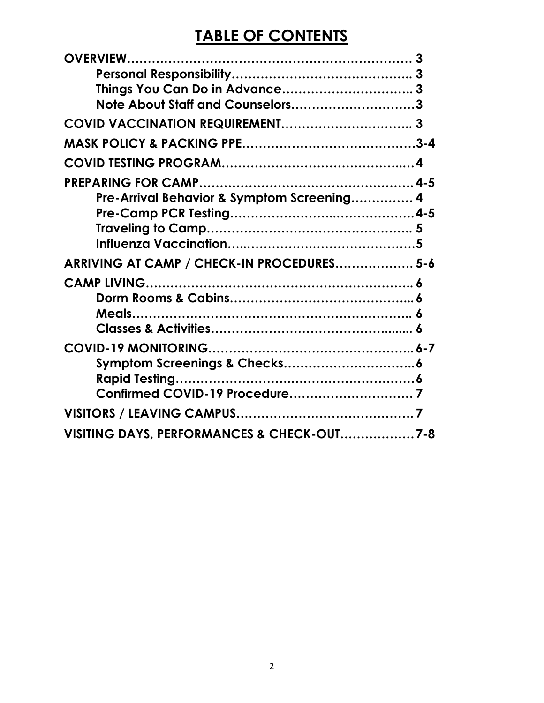# **TABLE OF CONTENTS**

| 3<br>Note About Staff and Counselors3      |  |
|--------------------------------------------|--|
| COVID VACCINATION REQUIREMENT              |  |
|                                            |  |
|                                            |  |
| Pre-Arrival Behavior & Symptom Screening 4 |  |
|                                            |  |
| ARRIVING AT CAMP / CHECK-IN PROCEDURES 5-6 |  |
|                                            |  |
|                                            |  |
|                                            |  |
| VISITING DAYS, PERFORMANCES & CHECK-OUT7-8 |  |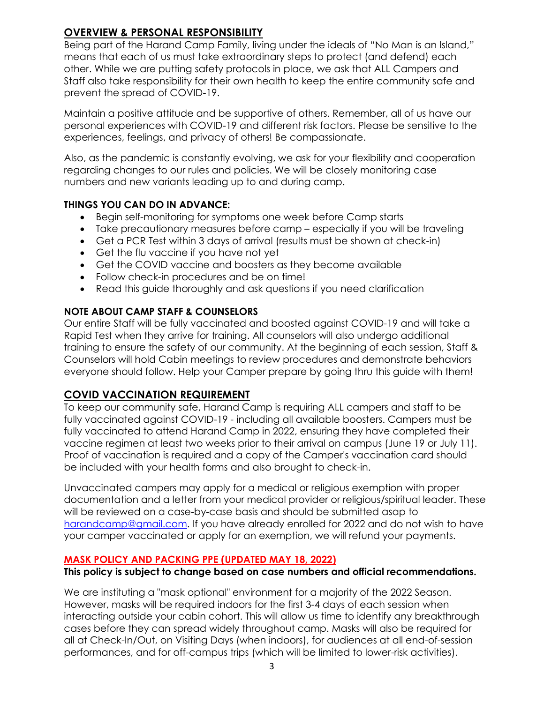## **OVERVIEW & PERSONAL RESPONSIBILITY**

Being part of the Harand Camp Family, living under the ideals of "No Man is an Island," means that each of us must take extraordinary steps to protect (and defend) each other. While we are putting safety protocols in place, we ask that ALL Campers and Staff also take responsibility for their own health to keep the entire community safe and prevent the spread of COVID-19.

Maintain a positive attitude and be supportive of others. Remember, all of us have our personal experiences with COVID-19 and different risk factors. Please be sensitive to the experiences, feelings, and privacy of others! Be compassionate.

Also, as the pandemic is constantly evolving, we ask for your flexibility and cooperation regarding changes to our rules and policies. We will be closely monitoring case numbers and new variants leading up to and during camp.

## **THINGS YOU CAN DO IN ADVANCE:**

- Begin self-monitoring for symptoms one week before Camp starts
- Take precautionary measures before camp especially if you will be traveling
- Get a PCR Test within 3 days of arrival (results must be shown at check-in)
- Get the flu vaccine if you have not yet
- Get the COVID vaccine and boosters as they become available
- Follow check-in procedures and be on time!
- Read this guide thoroughly and ask questions if you need clarification

#### **NOTE ABOUT CAMP STAFF & COUNSELORS**

Our entire Staff will be fully vaccinated and boosted against COVID-19 and will take a Rapid Test when they arrive for training. All counselors will also undergo additional training to ensure the safety of our community. At the beginning of each session, Staff & Counselors will hold Cabin meetings to review procedures and demonstrate behaviors everyone should follow. Help your Camper prepare by going thru this guide with them!

## **COVID VACCINATION REQUIREMENT**

To keep our community safe, Harand Camp is requiring ALL campers and staff to be fully vaccinated against COVID-19 - including all available boosters. Campers must be fully vaccinated to attend Harand Camp in 2022, ensuring they have completed their vaccine regimen at least two weeks prior to their arrival on campus (June 19 or July 11). Proof of vaccination is required and a copy of the Camper's vaccination card should be included with your health forms and also brought to check-in.

Unvaccinated campers may apply for a medical or religious exemption with proper documentation and a letter from your medical provider or religious/spiritual leader. These will be reviewed on a case-by-case basis and should be submitted asap to [harandcamp@gmail.com.](mailto:harandcamp@gmail.com) If you have already enrolled for 2022 and do not wish to have your camper vaccinated or apply for an exemption, we will refund your payments.

## **MASK POLICY AND PACKING PPE (UPDATED MAY 18, 2022)**

#### **This policy is subject to change based on case numbers and official recommendations.**

We are instituting a "mask optional" environment for a majority of the 2022 Season. However, masks will be required indoors for the first 3-4 days of each session when interacting outside your cabin cohort. This will allow us time to identify any breakthrough cases before they can spread widely throughout camp. Masks will also be required for all at Check-In/Out, on Visiting Days (when indoors), for audiences at all end-of-session performances, and for off-campus trips (which will be limited to lower-risk activities).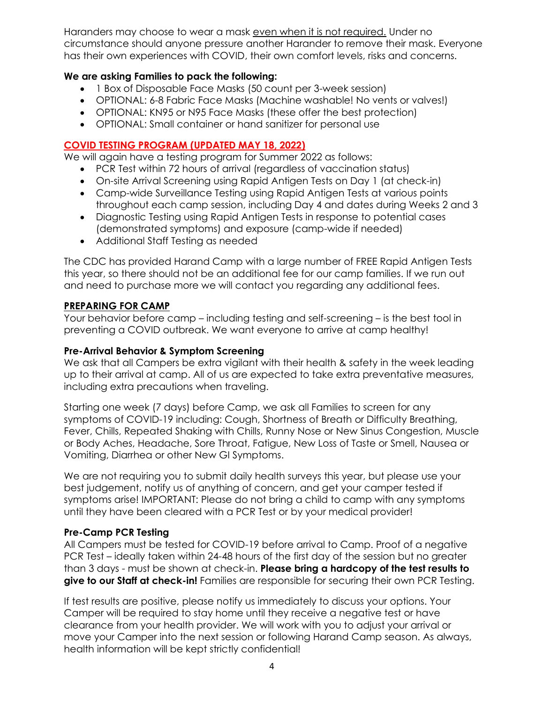Haranders may choose to wear a mask even when it is not required. Under no circumstance should anyone pressure another Harander to remove their mask. Everyone has their own experiences with COVID, their own comfort levels, risks and concerns.

## **We are asking Families to pack the following:**

- 1 Box of Disposable Face Masks (50 count per 3-week session)
- OPTIONAL: 6-8 Fabric Face Masks (Machine washable! No vents or valves!)
- OPTIONAL: KN95 or N95 Face Masks (these offer the best protection)
- OPTIONAL: Small container or hand sanitizer for personal use

## **COVID TESTING PROGRAM (UPDATED MAY 18, 2022)**

We will again have a testing program for Summer 2022 as follows:

- PCR Test within 72 hours of arrival (regardless of vaccination status)
- On-site Arrival Screening using Rapid Antigen Tests on Day 1 (at check-in)
- Camp-wide Surveillance Testing using Rapid Antigen Tests at various points throughout each camp session, including Day 4 and dates during Weeks 2 and 3
- Diagnostic Testing using Rapid Antigen Tests in response to potential cases (demonstrated symptoms) and exposure (camp-wide if needed)
- Additional Staff Testing as needed

The CDC has provided Harand Camp with a large number of FREE Rapid Antigen Tests this year, so there should not be an additional fee for our camp families. If we run out and need to purchase more we will contact you regarding any additional fees.

## **PREPARING FOR CAMP**

Your behavior before camp – including testing and self-screening – is the best tool in preventing a COVID outbreak. We want everyone to arrive at camp healthy!

## **Pre-Arrival Behavior & Symptom Screening**

We ask that all Campers be extra vigilant with their health & safety in the week leading up to their arrival at camp. All of us are expected to take extra preventative measures, including extra precautions when traveling.

Starting one week (7 days) before Camp, we ask all Families to screen for any symptoms of COVID-19 including: Cough, Shortness of Breath or Difficulty Breathing, Fever, Chills, Repeated Shaking with Chills, Runny Nose or New Sinus Congestion, Muscle or Body Aches, Headache, Sore Throat, Fatigue, New Loss of Taste or Smell, Nausea or Vomiting, Diarrhea or other New GI Symptoms.

We are not requiring you to submit daily health surveys this year, but please use your best judgement, notify us of anything of concern, and get your camper tested if symptoms arise! IMPORTANT: Please do not bring a child to camp with any symptoms until they have been cleared with a PCR Test or by your medical provider!

## **Pre-Camp PCR Testing**

All Campers must be tested for COVID-19 before arrival to Camp. Proof of a negative PCR Test – ideally taken within 24-48 hours of the first day of the session but no greater than 3 days - must be shown at check-in. **Please bring a hardcopy of the test results to give to our Staff at check-in!** Families are responsible for securing their own PCR Testing.

If test results are positive, please notify us immediately to discuss your options. Your Camper will be required to stay home until they receive a negative test or have clearance from your health provider. We will work with you to adjust your arrival or move your Camper into the next session or following Harand Camp season. As always, health information will be kept strictly confidential!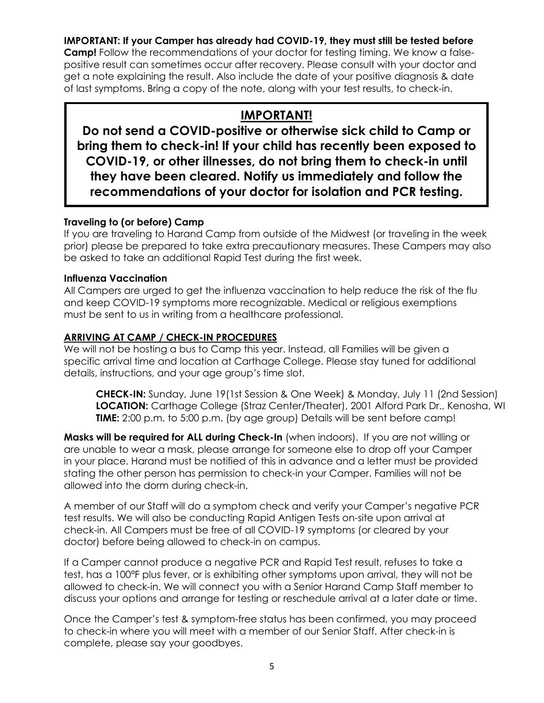## **IMPORTANT: If your Camper has already had COVID-19, they must still be tested before**

**Camp!** Follow the recommendations of your doctor for testing timing. We know a falsepositive result can sometimes occur after recovery. Please consult with your doctor and get a note explaining the result. Also include the date of your positive diagnosis & date of last symptoms. Bring a copy of the note, along with your test results, to check-in.

## **IMPORTANT!**

**Do not send a COVID-positive or otherwise sick child to Camp or bring them to check-in! If your child has recently been exposed to COVID-19, or other illnesses, do not bring them to check-in until they have been cleared. Notify us immediately and follow the recommendations of your doctor for isolation and PCR testing.**

## **Traveling to (or before) Camp**

If you are traveling to Harand Camp from outside of the Midwest (or traveling in the week prior) please be prepared to take extra precautionary measures. These Campers may also be asked to take an additional Rapid Test during the first week.

## **Influenza Vaccination**

All Campers are urged to get the influenza vaccination to help reduce the risk of the flu and keep COVID-19 symptoms more recognizable. Medical or religious exemptions must be sent to us in writing from a healthcare professional.

## **ARRIVING AT CAMP / CHECK-IN PROCEDURES**

We will not be hosting a bus to Camp this year. Instead, all Families will be given a specific arrival time and location at Carthage College. Please stay tuned for additional details, instructions, and your age group's time slot.

**CHECK-IN:** Sunday, June 19(1st Session & One Week) & Monday, July 11 (2nd Session) **LOCATION:** Carthage College (Straz Center/Theater), 2001 Alford Park Dr., Kenosha, WI **TIME:** 2:00 p.m. to 5:00 p.m. (by age group) Details will be sent before camp!

**Masks will be required for ALL during Check-In** (when indoors). If you are not willing or are unable to wear a mask, please arrange for someone else to drop off your Camper in your place. Harand must be notified of this in advance and a letter must be provided stating the other person has permission to check-in your Camper. Families will not be allowed into the dorm during check-in.

A member of our Staff will do a symptom check and verify your Camper's negative PCR test results. We will also be conducting Rapid Antigen Tests on-site upon arrival at check-in. All Campers must be free of all COVID-19 symptoms (or cleared by your doctor) before being allowed to check-in on campus.

If a Camper cannot produce a negative PCR and Rapid Test result, refuses to take a test, has a 100°F plus fever, or is exhibiting other symptoms upon arrival, they will not be allowed to check-in. We will connect you with a Senior Harand Camp Staff member to discuss your options and arrange for testing or reschedule arrival at a later date or time.

Once the Camper's test & symptom-free status has been confirmed, you may proceed to check-in where you will meet with a member of our Senior Staff. After check-in is complete, please say your goodbyes.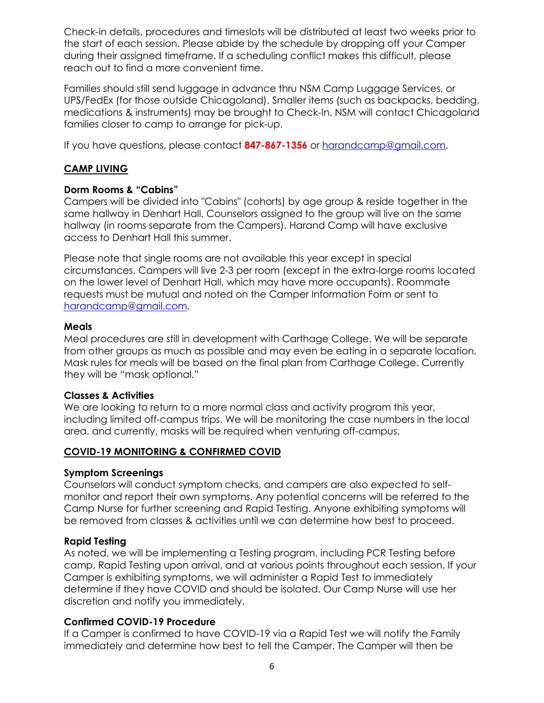Check-in details, procedures and timeslots will be distributed at least two weeks prior to the start of each session. Please abide by the schedule by dropping off your Camper during their assigned timeframe. If a scheduling conflict makes this difficult, please reach out to find a more convenient time.

Families should still send luggage in advance thru NSM Camp Luggage Services, or UPS/FedEx (for those outside Chicagoland). Smaller items (such as backpacks, bedding, medications & instruments) may be brought to Check-In. NSM will contact Chicagoland families closer to camp to arrange for pick-up.

If you have questions, please contact **847-867-1356** or [harandcamp@gmail.com.](mailto:harandcamp@gmail.com)

## **CAMP LIVING**

## **Dorm Rooms & "Cabins"**

Campers will be divided into "Cabins" (cohorts) by age group & reside together in the same hallway in Denhart Hall. Counselors assigned to the group will live on the same hallway (in rooms separate from the Campers). Harand Camp will have exclusive access to Denhart Hall this summer.

Please note that single rooms are not available this year except in special circumstances. Campers will live 2-3 per room (except in the extra-large rooms located on the lower level of Denhart Hall, which may have more occupants). Roommate requests must be mutual and noted on the Camper Information Form or sent to [harandcamp@gmail.com.](mailto:harandcamp@gmail.com)

#### **Meals**

Meal procedures are still in development with Carthage College. We will be separate from other groups as much as possible and may even be eating in a separate location. Mask rules for meals will be based on the final plan from Carthage College. Currently they will be "mask optional."

#### **Classes & Activities**

We are looking to return to a more normal class and activity program this year, including limited off-campus trips. We will be monitoring the case numbers in the local area, and currently, masks will be required when venturing off-campus.

## **COVID-19 MONITORING & CONFIRMED COVID**

#### **Symptom Screenings**

Counselors will conduct symptom checks, and campers are also expected to selfmonitor and report their own symptoms. Any potential concerns will be referred to the Camp Nurse for further screening and Rapid Testing. Anyone exhibiting symptoms will be removed from classes & activities until we can determine how best to proceed.

## **Rapid Testing**

As noted, we will be implementing a Testing program, including PCR Testing before camp, Rapid Testing upon arrival, and at various points throughout each session. If your Camper is exhibiting symptoms, we will administer a Rapid Test to immediately determine if they have COVID and should be isolated. Our Camp Nurse will use her discretion and notify you immediately.

#### **Confirmed COVID-19 Procedure**

If a Camper is confirmed to have COVID-19 via a Rapid Test we will notify the Family immediately and determine how best to tell the Camper. The Camper will then be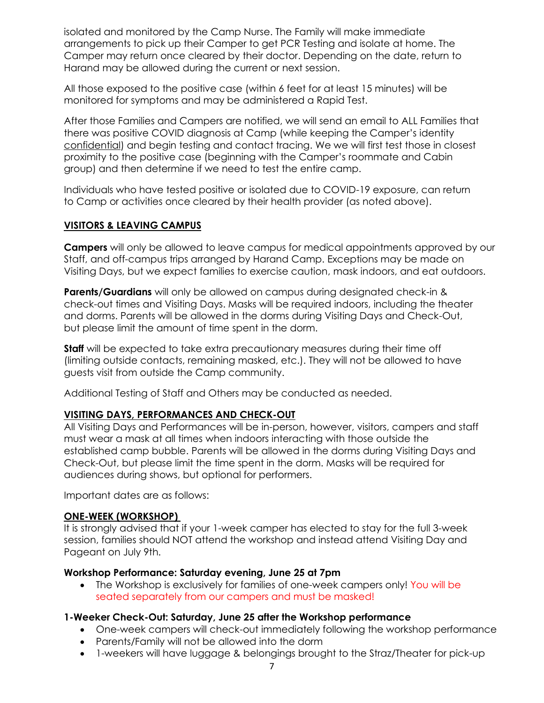isolated and monitored by the Camp Nurse. The Family will make immediate arrangements to pick up their Camper to get PCR Testing and isolate at home. The Camper may return once cleared by their doctor. Depending on the date, return to Harand may be allowed during the current or next session.

All those exposed to the positive case (within 6 feet for at least 15 minutes) will be monitored for symptoms and may be administered a Rapid Test.

After those Families and Campers are notified, we will send an email to ALL Families that there was positive COVID diagnosis at Camp (while keeping the Camper's identity confidential) and begin testing and contact tracing. We we will first test those in closest proximity to the positive case (beginning with the Camper's roommate and Cabin group) and then determine if we need to test the entire camp.

Individuals who have tested positive or isolated due to COVID-19 exposure, can return to Camp or activities once cleared by their health provider (as noted above).

#### **VISITORS & LEAVING CAMPUS**

**Campers** will only be allowed to leave campus for medical appointments approved by our Staff, and off-campus trips arranged by Harand Camp. Exceptions may be made on Visiting Days, but we expect families to exercise caution, mask indoors, and eat outdoors.

**Parents/Guardians** will only be allowed on campus during designated check-in & check-out times and Visiting Days. Masks will be required indoors, including the theater and dorms. Parents will be allowed in the dorms during Visiting Days and Check-Out, but please limit the amount of time spent in the dorm.

**Staff** will be expected to take extra precautionary measures during their time off (limiting outside contacts, remaining masked, etc.). They will not be allowed to have guests visit from outside the Camp community.

Additional Testing of Staff and Others may be conducted as needed.

## **VISITING DAYS, PERFORMANCES AND CHECK-OUT**

All Visiting Days and Performances will be in-person, however, visitors, campers and staff must wear a mask at all times when indoors interacting with those outside the established camp bubble. Parents will be allowed in the dorms during Visiting Days and Check-Out, but please limit the time spent in the dorm. Masks will be required for audiences during shows, but optional for performers.

Important dates are as follows:

#### **ONE-WEEK (WORKSHOP)**

It is strongly advised that if your 1-week camper has elected to stay for the full 3-week session, families should NOT attend the workshop and instead attend Visiting Day and Pageant on July 9th.

#### **Workshop Performance: Saturday evening, June 25 at 7pm**

• The Workshop is exclusively for families of one-week campers only! You will be seated separately from our campers and must be masked!

#### **1-Weeker Check-Out: Saturday, June 25 after the Workshop performance**

- One-week campers will check-out immediately following the workshop performance
- Parents/Family will not be allowed into the dorm
- 1-weekers will have luggage & belongings brought to the Straz/Theater for pick-up